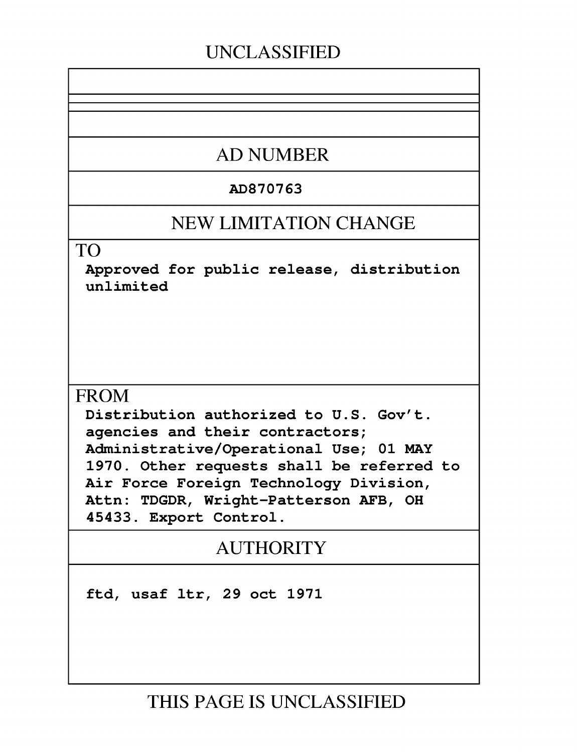# **UNCLASSIFIED**

# **AD NUMBER**

### **AD870763**

## **NEW LIMITATION CHANGE**

TO

Approved for public release, distribution unlimited

## **FROM**

Distribution authorized to **U.S.** Gov't. agencies and their contractors; Administrative/Operational Use; **01** MAY **1970.** Other requests shall be referred to Air Force Foreign Technology Division, Attn: TDGDR, Wright-Patterson **AFB,** OH 45433. Export Control.

# AUTHORITY

ftd, usaf ltr, **29** oct **<sup>1971</sup>**

**THIS PAGE IS UNCLASSIFIED**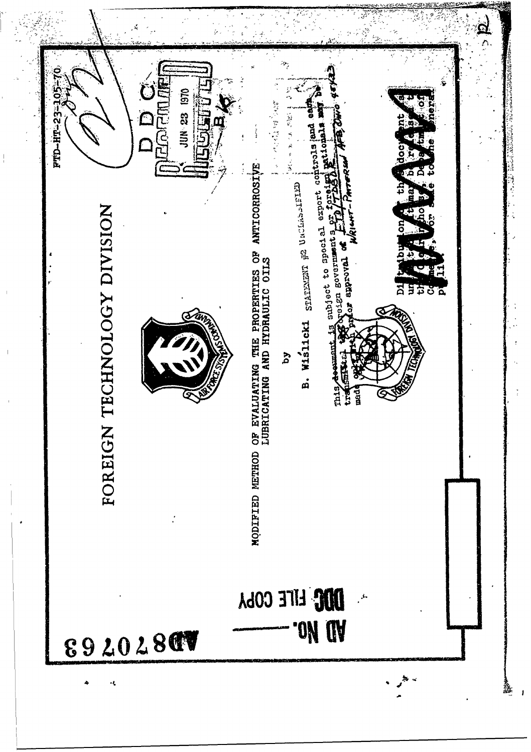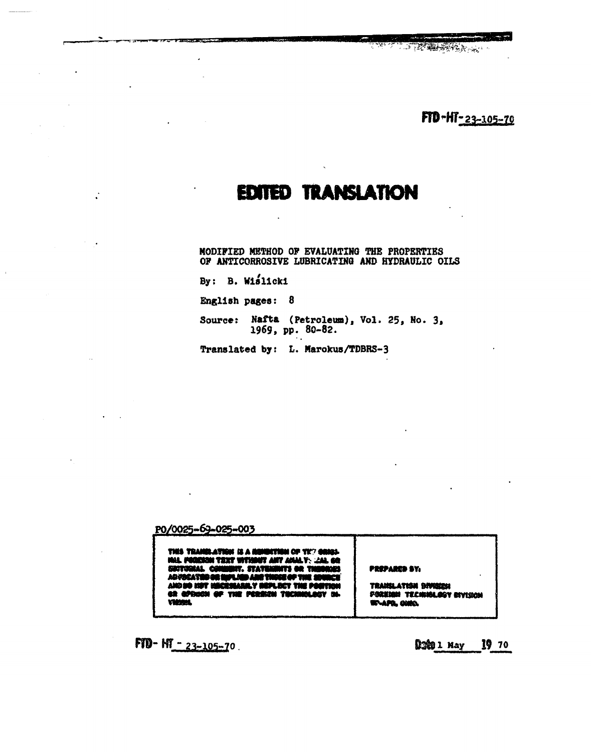THE PERSON NAMED IN COLUMN

FTD-HT-23-105-70

# **EDITED TRANSLATION**

MODIFIED METHOD OF EVALUATING THE PROPERTIES OF ANTICORROSIVE LUBRICATING AND HYDRAULIC OILS

By:  $B. W1511ckt$ 

English pages: 8

Source: Nafta (Petroleum), Vol. 25, No. 3, 1969, pp. 80-82.

Translated by: L. Marokus/TDBRS-3

### P0/0025-69-025-003

THIS TRAHILATION IS A REMIXTION OF THE GRISSINAL PERIDENT THAT WITHOUT ANY ANALY: LAL. 60:<br>SUITGOLAL COMMUNY, STATEMINTS OR THEORIES<br>ADVISATIONAL COMMUNY, STATEMINTS OR THEORIES<br>AND NO HIT MECRISARILY REPLECT THE PORTION<br>C **VIENNE** 

**PREPARED BY:** 

translation bivinna<br>Forkunt technology bivinna WAFR, OHIO.

 $FID - NT - 23 - 105 - 70$ 

 $2201$  May 19 70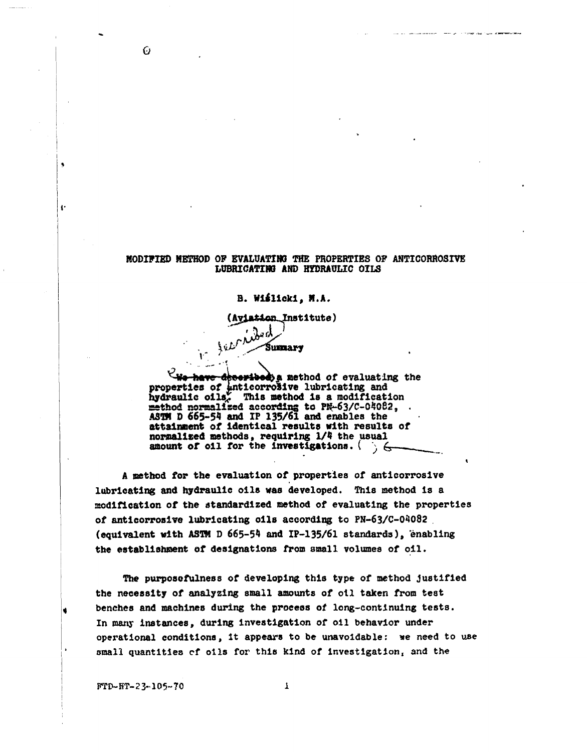#### MODIFIED METHOD OF EVALUATrIG **THE** PROPERTIES OF ANTICORROSIVE LUBRICATIM **AND** HYDRAULIC **OILS**

#### **B. Wislicki, M.A.**

Aviation Institute)

Sumary

Jurni

 $K_{\text{W} \rightarrow \text{have}}$  decay depend of evaluating the **properties of anticorrolly and the lubricating and properties of anticorrolly lubricating and** hydraulic oils; This method is a modification method normalized according to **PX-63/C-04082**, **AS7 D 665-54** and Ip **135/61** and enables the attainment **of** identical results with results of noraalized methods, requiring 1/4 the usual amount **or** oil for the investigations. **(** *",* **\_**

**A** method for the evaluation of properties **of** anticorrosive lubricating and hydraulic oils was developed. This method is a modification of the standardized method of evaluating the properties of anticorrosive lubricating oils according to **PN-63/C-0082** (equivalent with **ASTH D 665-54** and **IP-135/61** standards), "bnabling the establishment **of** designations from small volumes **of** oil.

The purposefulness of developing this type of method Justified the necessity of analyzing small amounts of oil taken from test benches and machines during the process **of** long-continuing tests. In many instances, during investigation of oil behavior under operational conditions, It appears to be unavoidable: ve need to use small quantities **ef** oils for this kind of investigation, and the

**FTD'-HT-23-. 105- 70 I**

 $\Omega$ 

 $\ddot{\phantom{a}}$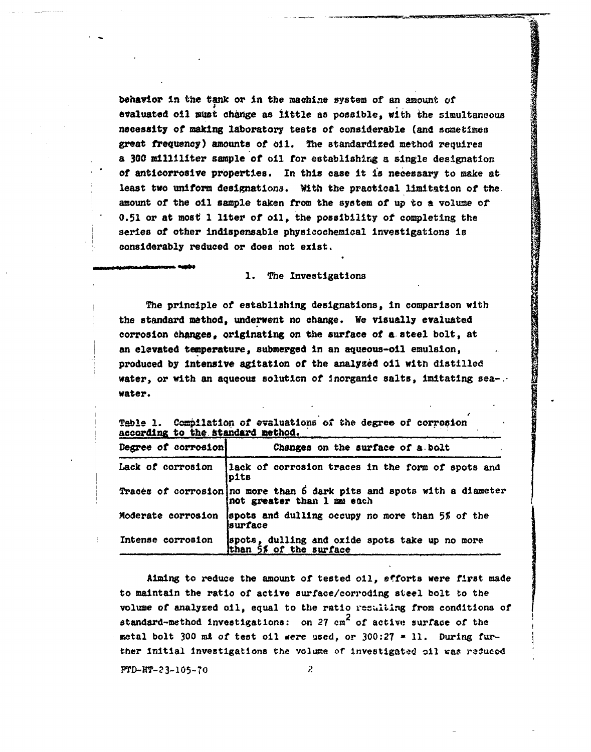behavior in the tank or in the machine system of an amount of evaluated oil must change as little as possible, with the simultaneous necessity of making laboratory tests of considerable (and sometimes great frequency) amounts of oll. The standardized method requires a **300** milliliter sample of oil for establishing a single designation of anticorrosive properties. In this case it is necessary to make at least two uniform designations. With the practical limitation of the. amount of the oil sample taken from the system of up to a volume of **0.51** or at most **1** liter of oil, the possibility of completing the series of other indispensable physicochemical Investigations is considerably reduced or does not exist.

#### **1.** The Investigations

The principle of establishing designations, In comparison with the standard method, underwent no change. We visually evaluated corrosion ahangea# originating on the surface of **a.** steel bolt, at an elevated temperature, submerged in an aqueous-oil emulsion, produced **by** intensive agitation of the analysed oil with distilled water, or with an aqueous solution **of** Inorganic salts, imitating sea-. water.

| according to the standard method. |                                                                                                      |
|-----------------------------------|------------------------------------------------------------------------------------------------------|
| Degree of corrosion               | Changes on the surface of a bolt                                                                     |
|                                   | Lack of corrosion   lack of corrosion traces in the form of spots and<br>pits                        |
|                                   | Traces of corrosion no more than 6 dark pits and spots with a diameter<br>not greater than 1 mm each |
|                                   | Moderate corrosion sapots and dulling occupy no more than 5% of the<br><i>surface</i>                |
| Intense corrosion                 | spots, dulling and oxide spots take up no more<br>than 5% of the surface                             |

Table 1. Compilation of evaluations of the degree of corrosion

Aiming to reduce the amount of tested oil, efforts were first made to maintain the ratio of active surface/corroding steel bolt to the volume of analyzed oil, equal to the ratio resulting from conditions of standard-method Investigations: on **27 cm2** of active surface of the metal bolt **300** ml of teat oil sere used, or **300:27 - 11.** During further initial investigations the volume of investigated oil waz reduced **FTD-H-23-105--0** $\mathbf{z}$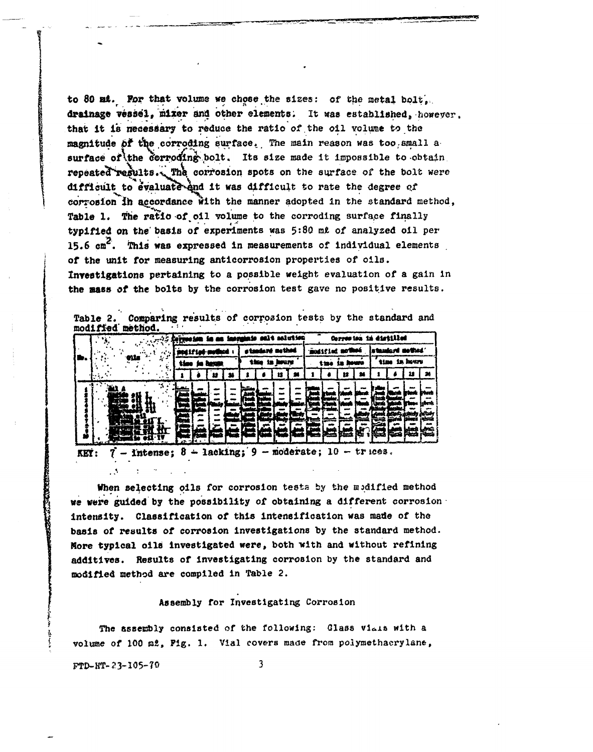to 80 md. For that volume we chose the sizes: of the metal bolt. drainage vessel, mixer and other elements. It was established, however, that it is necessary to reduce the ratio of the oil volume to the magnitude of the corroding surface. The main reason was too small a surface of the corroding bolt. Its size made it impossible to obtain repeated results. The corrosion spots on the surface of the bolt were difficult to evaluate and it was difficult to rate the degree of corrosion in accordance with the manner adopted in the standard method, Table 1. The ratio of oil volume to the corroding surface finally typified on the basis of experiments was 5:80 m£ of analyzed oil per 15.6 cm<sup>2</sup>. This was expressed in measurements of individual elements of the unit for measuring anticorrosion properties of oils. Investigations pertaining to a possible weight evaluation of a gain in the mass of the bolts by the corrosion test gave no positive results.

| Table 2. Comparing results of corrosion tests by the standard and |  |  |  |  |
|-------------------------------------------------------------------|--|--|--|--|
| modified method.                                                  |  |  |  |  |

|  |  |             |     |     |            |                        | with the process in an increase said selection |                 |   |     |       |     |            | Correston to distilled |                         |               |                 |
|--|--|-------------|-----|-----|------------|------------------------|------------------------------------------------|-----------------|---|-----|-------|-----|------------|------------------------|-------------------------|---------------|-----------------|
|  |  |             |     |     | pod1f1p4-1 | <b>TOTAL AND STATE</b> |                                                | standeré method |   |     | -410  |     |            |                        | <i>standard</i> method' |               |                 |
|  |  | <b>Gils</b> | : د | tim |            | e jie havan            |                                                | time in hours   |   |     |       | tae |            |                        |                         | time in hours |                 |
|  |  |             |     |     |            | ш.                     |                                                |                 | ю |     |       |     | 12         |                        |                         |               |                 |
|  |  | $-227$      |     | G.  |            |                        | fue                                            |                 |   | Fak | an an | æ.  | <b>REA</b> |                        |                         |               | 70. Jul<br>نصحة |

KEY:  $7$  - Intense;  $8$  - lacking;  $9$  - moderate;  $10$  - trices.

When selecting oils for corrosion tests by the modified method we were guided by the possibility of obtaining a different corrosion intensity. Classification of this intensification was made of the basis of results of corrosion investigations by the standard method. More typical oils investigated were, both with and without refining additives. Results of investigating corrosion by the standard and modified method are compiled in Table 2.

### Assembly for Investigating Corrosion

The assembly consisted of the following: Glass vials with a volume of 100 m2, Fig. 1. Vial covers made from polymethacrylane,

FTD-HT-23-105-70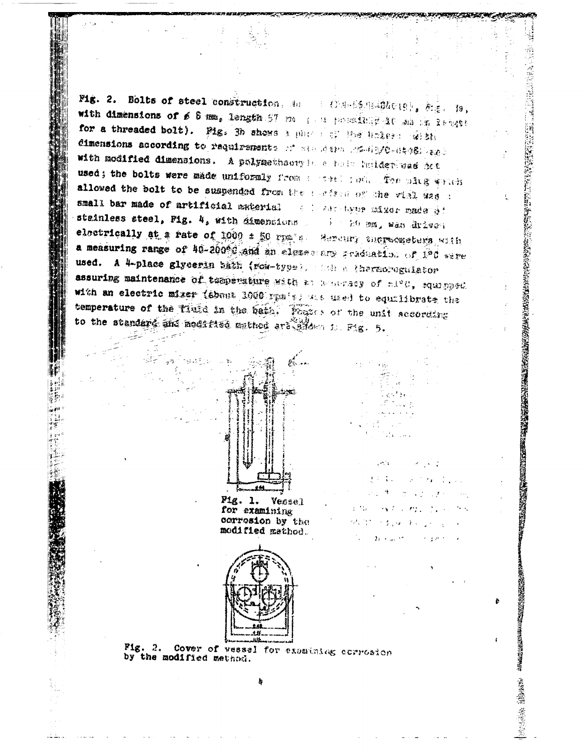Fig. 2. Bolts of steel construction, so a chambightery, Fig.  $39.$ with dimensions of  $\beta$  8 mm, length 67 mm possibly it is in langth for a threaded bolt). Fig. 3b shows a phenomy Bus hales as si dimensions according to requirements of standard schippe-steps. with modified dimensions. A polymethoury has been helder was het used; the bolts were made uniformly from a steel path. The plas eras allowed the bolt to be suspended from the section of the visl asset small bar made of artificial caterial and selective mixer made if stainless steel, Fig. 4, with dimensions and his may wan driven electrically at a rate of 1000 ± 50 rpm's Hereury thereometers, with a measuring range of 40-20000 and an elgaen any praduation of 1°0 were used. A 4-place glycerin sath (row-type), their thermorogulator assuring maintenance of temperature mith as beneficially of mind; rowinged with an electric mizer (sbank 1900 rgn s) was used to equilibrate the temperature of the little in the bail, Phones of the unit according to the standard and modified mathed ard giorn is Fig.

この「大きさん」の「この「この「この「この「このこのこと」ということの「このこと」ということが、「このこと」ということ、「このこと」ということ、「このこと」ということ、「このことは、「このことは、「こ

NEW CONSTRUCTION CONTRACTORS OF THE CONSTRUCTION OF THE CONSTRUCTION OF THE CONSTRUCTION OF THE CONSTRUCTION OF

2009年4月 京都大学



 $P1g. 1.$ Yessel for examining corresion by the modified method.



Cover of wessel for examining corresion  $P1g. 2.$ by the modified method.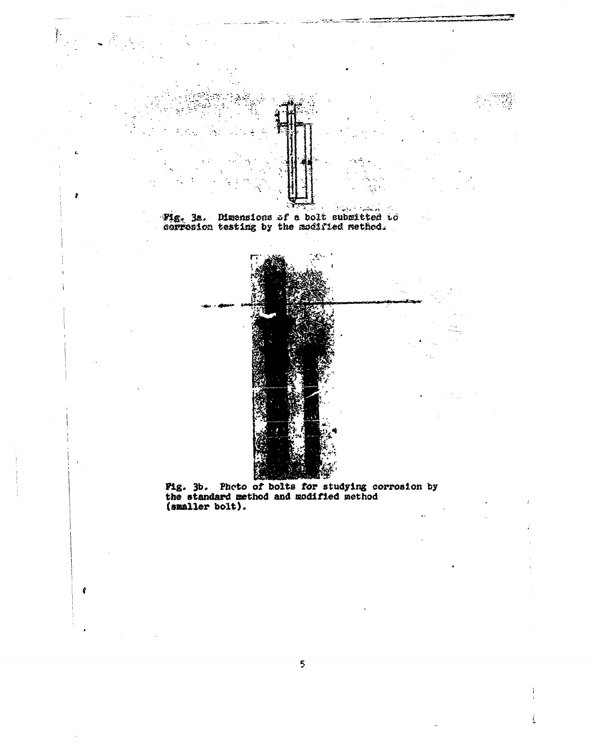Fig. 3a. Dimensions of a bolt submitted to corrosion testing by the modified method.

ł

 $\theta$ 



Fig. **3b,** Photo of bolts *for* studying corrosion **by** the standard method *and modified* method (smaller bolt).

 $\overline{\mathbf{S}}$ 

ł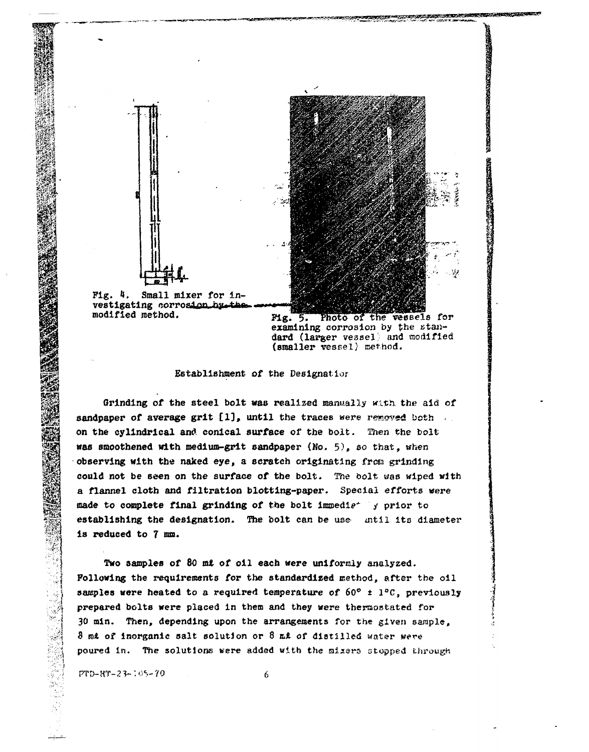

examining corrosion by the standard (larger vessel) and modified (smaller vessel) method.

#### Establishment of the Designatior

Grinding of the steel bolt was realized manually with the aid of sandpaper of average grit [1], until the traces were *removed* both  $\lambda$ . on the cylindrical and conical surface **or** the bolt. Then the bolt was smoothened with medium-grit sandpaper **(No. 5).** so that, when observing with the naked eye, a scratch originating from grinding could not be seen on the surface of the bolt. The bolt was wiped with a flannel cloth and filtration blotting-paper. Special efforts were made to complete final grinding of the bolt Immedie' **Y** prior to establishing the designation. The bolt can be use Lntil its diameter **i s** reduced to **7 mm.**

Two samples of **80 mt** of oil each were uniforaly analyzed. Following the requirements for the standardized method, after the oil samples were heated to a required temperature of  $60^{\circ}$  t <sup>10</sup>C, previously prepared bolts were placed in them and they were thermostated for **30 min.** Then, depending upon the arrangements **for** the given sample, **<sup>8</sup>**ru of inorganic salt solution or **8** ml of distilled water were poured in. The solutions were added with the mixers stopped through

Vrru *o.* HT-2 *3-.* 

"4

6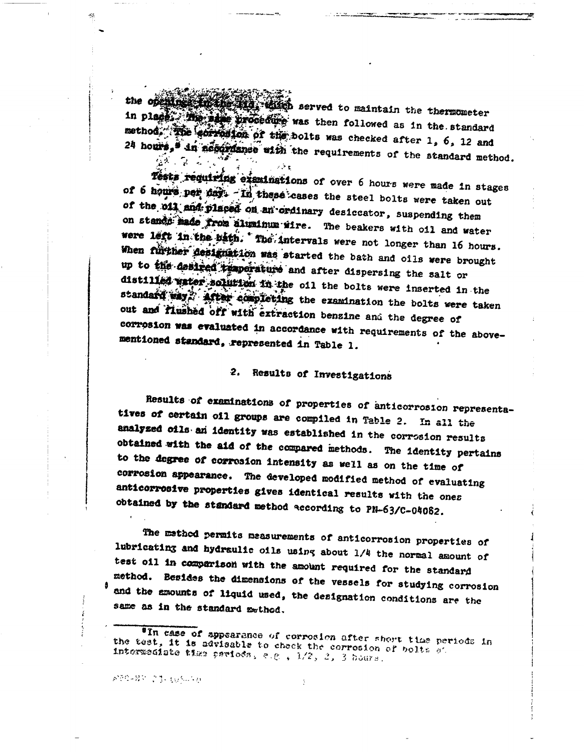the offering the street in the thermometer in place the standard procedure was then followed as in the standard method. The correspon of the bolts was checked after 1, 6, 12 and 24 hours, an accordance with the requirements of the standard method.

Tests requiring examinations of over 6 hours were made in stages of 6 hours per day. In these cases the steel bolts were taken out of the 011 and placed on an ordinary desiccator, suspending them on stands made from aluminum wire. The beakers with oil and water were left in the bith. The intervals were not longer than 16 hours. When further designation was started the bath and oils were brought up to the desired temperature and after dispersing the salt or distilled water solution in the oil the bolts were inserted in the standard way. After completing the examination the bolts were taken out and flushed off with extraction benzine and the degree of corrosion was evaluated in accordance with requirements of the abovementioned standard, represented in Table 1.

#### $2.$ Results of Investigations

Results of examinations of properties of anticorrosion representatives of certain oil groups are compiled in Table 2. In all the analyzed oils an identity was established in the corrosion results obtained with the aid of the compared methods. The identity pertains to the degree of corrosion intensity as well as on the time of corrosion appearance. The developed modified method of evaluating anticorrosive properties gives identical results with the ones obtained by the standard method according to PN-63/C-04082.

The mathed permits measurements of anticorrosion properties of lubricating and hydraulic oils using about 1/4 the normal amount of test oil in comparison with the amount required for the standard method. Besides the dimensions of the vessels for studying corrosion and the amounts of liquid used, the designation conditions are the same as in the standard method.

 $\mathcal{P}^{\text{VZ}}_{\text{VZ}}(2,2,3) = \mathcal{P}^{\text{VZ}}_{\text{VZ}}(2,3) + \mathcal{P}^{\text{VZ}}_{\text{VZ}}(2,4)$ 

<sup>&</sup>quot;In case of appearance of corrosion after short time periods in the test, it is advisable to check the corrosion of bolts of intermediate time parieds, e.g., 1/2, 2, 3 hours.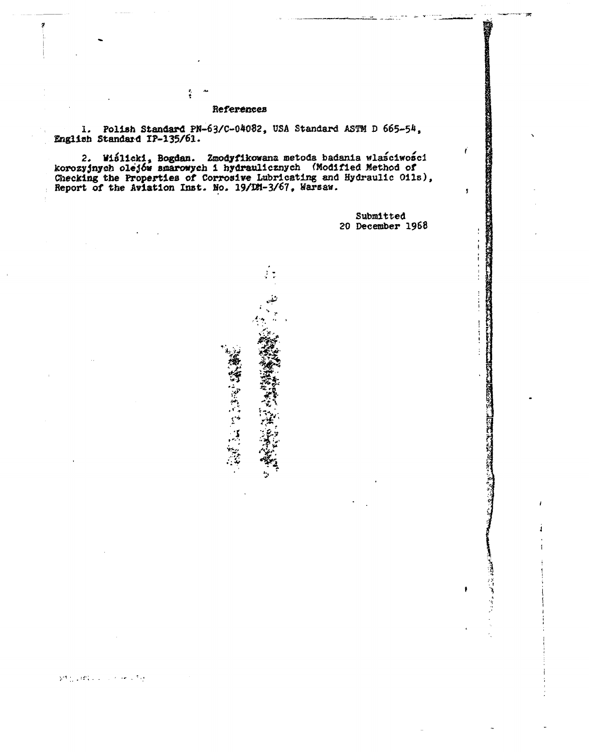#### **References**

ます

**1.** Polish Standard PNi-63/C-04082, **USA** Standard **ASTM D 665-54,** English Standard **IF-135/61.**

2. Wiślicki, Bogdan. Zmodyfikowana metoda badania wlasciwości korozyjnych olejów smarowych i hydraulicznych (Modified Method of Checking the Properties of Corrosive Lubricating and Hydraulic Oils), Report of the Aviation Inst. No. **19/M\*-3/67,** Warsaw.

> Submitted 20 December **1968**

 $\epsilon$ 

 $\pmb{\mathsf{s}}$ 

دند و<br>د

ł



3件24件以上 人名德尔特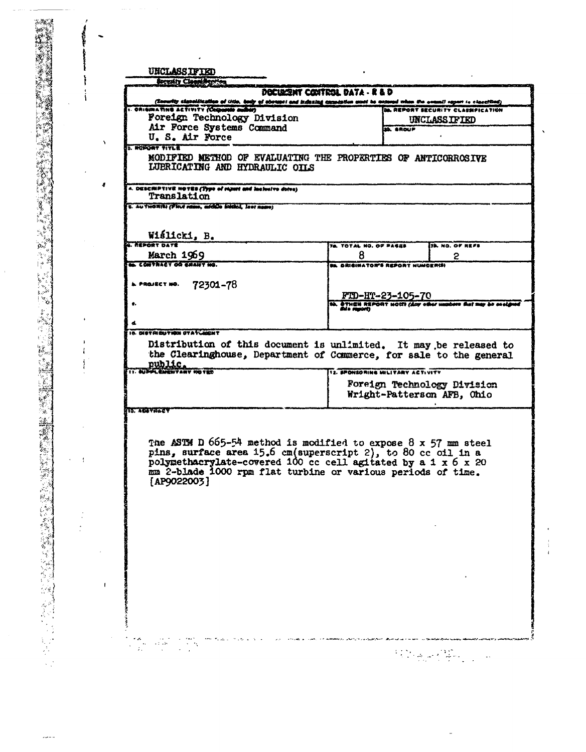| (Severity classification of title, body of abounct and industing appearing used he answer when the overall report to classified)                                                                                                                                               | DOCUMENT CONTROL DATA - R & D |                                   |                                                                 |
|--------------------------------------------------------------------------------------------------------------------------------------------------------------------------------------------------------------------------------------------------------------------------------|-------------------------------|-----------------------------------|-----------------------------------------------------------------|
| 1. ORIGINATING ACTIVITY (Calculate author)                                                                                                                                                                                                                                     |                               |                                   | <b>SE. REPORT SECURITY CLASSIFICATION</b>                       |
| Foreign Technology Division                                                                                                                                                                                                                                                    |                               |                                   | <b>UNCLASS IF IRD</b>                                           |
| Air Force Systems Command                                                                                                                                                                                                                                                      |                               | <b>SE SROUP</b>                   |                                                                 |
| U. S. Air Force                                                                                                                                                                                                                                                                |                               |                                   |                                                                 |
| <b>B. ROMORT TITLE</b><br>MODIFIED METHOD OF EVALUATING THE PROPERTIES OF ANTICORROSIVE<br>LUBRICATING AND HYDRAULIC OILS                                                                                                                                                      |                               |                                   |                                                                 |
| 4. DESCRIPTIVE HOTES (Type of right) and includive delve)<br>Translation                                                                                                                                                                                                       |                               |                                   |                                                                 |
| s. Au THONTH (First name, additio inicial, lest name)<br>Wiślicki, B.                                                                                                                                                                                                          |                               |                                   |                                                                 |
| <b>ARPORT DATE</b>                                                                                                                                                                                                                                                             | 78. TOTAL NO. OF PASES        |                                   | TA NO. OF REFS                                                  |
| March 1969<br><b>AL CONTRACY OG ANANY NO.</b>                                                                                                                                                                                                                                  | 8                             | IS. BRIGINATOR'S REPORT NUMBERISI | 2                                                               |
|                                                                                                                                                                                                                                                                                |                               |                                   |                                                                 |
| 72301-78<br>L. PROJECT NO.                                                                                                                                                                                                                                                     |                               |                                   |                                                                 |
|                                                                                                                                                                                                                                                                                |                               | FTD-HT-23-105-70                  |                                                                 |
|                                                                                                                                                                                                                                                                                |                               |                                   | th. OTHER REPORT HOITS (Any other manhers that may be exclusive |
|                                                                                                                                                                                                                                                                                |                               |                                   |                                                                 |
| 16. DIETRIBUTION OTA V. MONT                                                                                                                                                                                                                                                   |                               |                                   |                                                                 |
| Distribution of this document is unlimited. It may be released to<br>the Clearinghouse, Department of Commerce, for sale to the general<br>nublic.<br>AUPPLEMENTANY NOTED                                                                                                      |                               | 12. SPONSORING MILITARY ACTIVITY  |                                                                 |
|                                                                                                                                                                                                                                                                                |                               |                                   | Foreign Technology Division<br>Wright-Patterson AFB, Ohio       |
|                                                                                                                                                                                                                                                                                |                               |                                   |                                                                 |
| The ASTM D 665-54 method is modified to expose 8 x 57 mm steel<br>pins, surface area 15.6 cm(superscript 2), to 80 cc oil in a<br>polymethacrylate-covered 100 cc cell agitated by a 1 x 6 x 20<br>mm 2-blade 1000 rpm flat turbine or various periods of time.<br>[AP9022003] |                               |                                   |                                                                 |

 $\bar{\mathbf{x}}$ 

 $\ddot{\phantom{1}}$  $\begin{array}{c} 1 \\ 1 \\ 3 \end{array}$ 

 $\overline{\phantom{a}}$ 

 $\bar{r}$ 

**CONTRACTORY ACROSSING AND CONTRACTORY** 

 $\ddot{\phantom{1}}$ 

 $\ddot{\phantom{0}}$ 

 $\mathbf{I}$ 

 $\hat{\boldsymbol{\epsilon}}$  $\frac{1}{2}$   $\boldsymbol{\hat{z}}$ 

 $\bullet$ 

 $\ddot{\phantom{0}}$